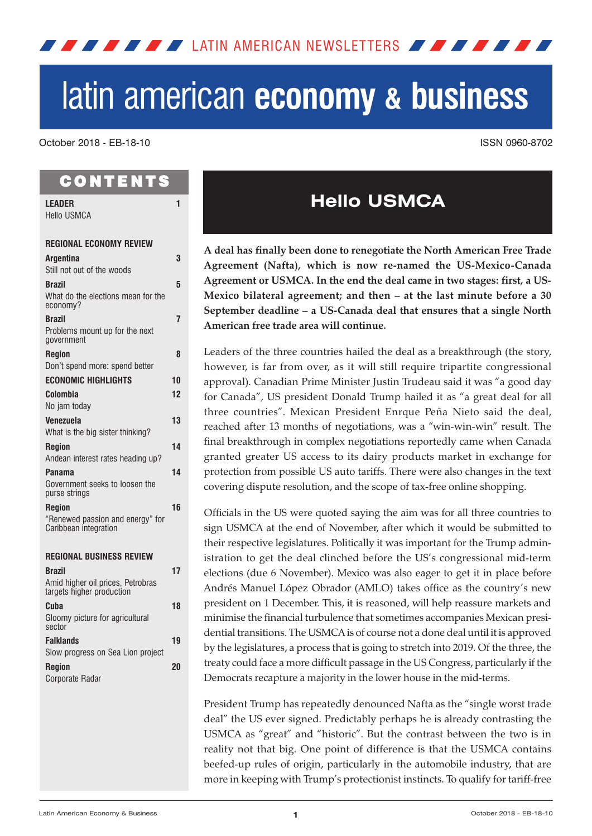<span id="page-0-0"></span>**LATIN AMERICAN NEWSLETTERS AND AND AND A** 

# latin american **economy & business**

October 2018 - EB-18-10 ISSN 0960-8702

# **CONTENTS**

| <b>LEADER</b>                                                  | 1  |
|----------------------------------------------------------------|----|
| <b>Hello USMCA</b>                                             |    |
| <b>REGIONAL ECONOMY REVIEW</b>                                 |    |
| Argentina<br>Still not out of the woods                        | 3  |
| <b>Brazil</b>                                                  | 5  |
| What do the elections mean for the<br>economy?                 |    |
| <b>Brazil</b>                                                  | 7  |
| Problems mount up for the next<br>government                   |    |
| <b>Region</b>                                                  | 8  |
| Don't spend more: spend better                                 |    |
| <b>ECONOMIC HIGHLIGHTS</b>                                     | 10 |
| Colombia                                                       | 12 |
| No jam today                                                   |    |
| Venezuela                                                      | 13 |
| What is the big sister thinking?                               | 14 |
| <b>Region</b><br>Andean interest rates heading up?             |    |
| Panama                                                         | 14 |
| Government seeks to loosen the<br>purse strings                |    |
| <b>Region</b>                                                  | 16 |
| "Renewed passion and energy" for<br>Caribbean integration      |    |
| <b>REGIONAL BUSINESS REVIEW</b>                                |    |
| <b>Brazil</b>                                                  | 17 |
| Amid higher oil prices, Petrobras<br>targets higher production |    |
| Cuba                                                           | 18 |
| Gloomy picture for agricultural<br>sector                      |    |
| <b>Falklands</b>                                               | 19 |
| Slow progress on Sea Lion project                              |    |
| <b>Region</b>                                                  | 20 |
| Corporate Radar                                                |    |

# **Hello USMCA**

**A deal has finally been done to renegotiate the North American Free Trade Agreement (Nafta), which is now re-named the US-Mexico-Canada Agreement or USMCA. In the end the deal came in two stages: first, a US-Mexico bilateral agreement; and then – at the last minute before a 30 September deadline – a US-Canada deal that ensures that a single North American free trade area will continue.**

Leaders of the three countries hailed the deal as a breakthrough (the story, however, is far from over, as it will still require tripartite congressional approval). Canadian Prime Minister Justin Trudeau said it was "a good day for Canada", US president Donald Trump hailed it as "a great deal for all three countries". Mexican President Enrque Peña Nieto said the deal, reached after 13 months of negotiations, was a "win-win-win" result. The final breakthrough in complex negotiations reportedly came when Canada granted greater US access to its dairy products market in exchange for protection from possible US auto tariffs. There were also changes in the text covering dispute resolution, and the scope of tax-free online shopping.

Officials in the US were quoted saying the aim was for all three countries to sign USMCA at the end of November, after which it would be submitted to their respective legislatures. Politically it was important for the Trump administration to get the deal clinched before the US's congressional mid-term elections (due 6 November). Mexico was also eager to get it in place before Andrés Manuel López Obrador (AMLO) takes office as the country's new president on 1 December. This, it is reasoned, will help reassure markets and minimise the financial turbulence that sometimes accompanies Mexican presidential transitions. The USMCAis of course not a done deal until it is approved by the legislatures, a process that is going to stretch into 2019. Of the three, the treaty could face a more difficult passage in the US Congress, particularly if the Democrats recapture a majority in the lower house in the mid-terms.

President Trump has repeatedly denounced Nafta as the "single worst trade deal" the US ever signed. Predictably perhaps he is already contrasting the USMCA as "great" and "historic". But the contrast between the two is in reality not that big. One point of difference is that the USMCA contains beefed-up rules of origin, particularly in the automobile industry, that are more in keeping with Trump's protectionist instincts. To qualify for tariff-free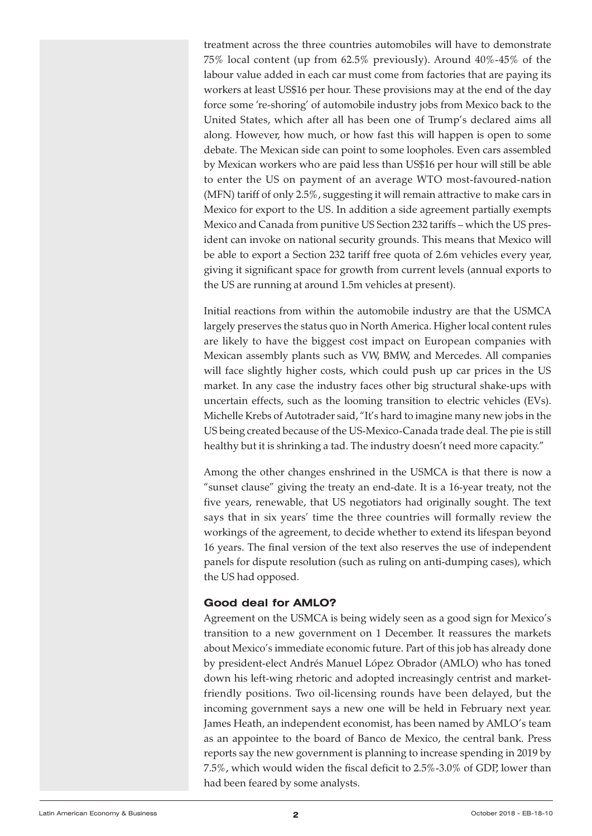treatment across the three countries automobiles will have to demonstrate 75% local content (up from 62.5% previously). Around 40%-45% of the labour value added in each car must come from factories that are paying its workers at least US\$16 per hour. These provisions may at the end of the day force some 're-shoring' of automobile industry jobs from Mexico back to the United States, which after all has been one of Trump's declared aims all along. However, how much, or how fast this will happen is open to some debate. The Mexican side can point to some loopholes. Even cars assembled by Mexican workers who are paid less than US\$16 per hour will still be able to enter the US on payment of an average WTO most-favoured-nation (MFN) tariff of only 2.5%, suggesting it will remain attractive to make cars in Mexico for export to the US. In addition a side agreement partially exempts Mexico and Canada from punitive US Section 232 tariffs – which the US president can invoke on national security grounds. This means that Mexico will be able to export a Section 232 tariff free quota of 2.6m vehicles every year, giving it significant space for growth from current levels (annual exports to the US are running at around 1.5m vehicles at present).

Initial reactions from within the automobile industry are that the USMCA largely preserves the status quo in North America. Higher local content rules are likely to have the biggest cost impact on European companies with Mexican assembly plants such as VW, BMW, and Mercedes. All companies will face slightly higher costs, which could push up car prices in the US market. In any case the industry faces other big structural shake-ups with uncertain effects, such as the looming transition to electric vehicles (EVs). Michelle Krebs of Autotrader said, "It's hard to imagine many new jobs in the US being created because of the US-Mexico-Canada trade deal. The pie is still healthy but it is shrinking a tad. The industry doesn't need more capacity."

Among the other changes enshrined in the USMCA is that there is now a "sunset clause" giving the treaty an end-date. It is a 16-year treaty, not the five years, renewable, that US negotiators had originally sought. The text says that in six years' time the three countries will formally review the workings of the agreement, to decide whether to extend its lifespan beyond 16 years. The final version of the text also reserves the use of independent panels for dispute resolution (such as ruling on anti-dumping cases), which the US had opposed.

#### **Good deal for AMLO?**

Agreement on the USMCA is being widely seen as a good sign for Mexico's transition to a new government on 1 December. It reassures the markets about Mexico's immediate economic future. Part of this job has already done by president-elect Andrés Manuel López Obrador (AMLO) who has toned down his left-wing rhetoric and adopted increasingly centrist and marketfriendly positions. Two oil-licensing rounds have been delayed, but the incoming government says a new one will be held in February next year. James Heath, an independent economist, has been named by AMLO's team as an appointee to the board of Banco de Mexico, the central bank. Press reports say the new government is planning to increase spending in 2019 by 7.5%, which would widen the fiscal deficit to 2.5%-3.0% of GDP, lower than had been feared by some analysts.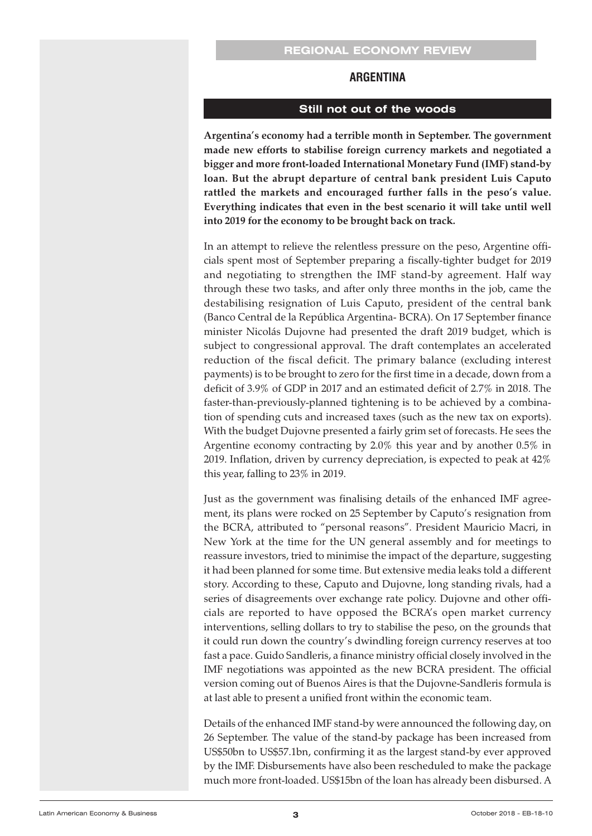#### **ARGENTINA**

#### **Still not out of the woods**

<span id="page-2-0"></span>**Argentina's economy had a terrible month in September. The government made new efforts to stabilise foreign currency markets and negotiated a bigger and more front-loaded International Monetary Fund (IMF) stand-by loan. But the abrupt departure of central bank president Luis Caputo rattled the markets and encouraged further falls in the peso's value. Everything indicates that even in the best scenario it will take until well into 2019 for the economy to be brought back on track.**

In an attempt to relieve the relentless pressure on the peso, Argentine officials spent most of September preparing a fiscally-tighter budget for 2019 and negotiating to strengthen the IMF stand-by agreement. Half way through these two tasks, and after only three months in the job, came the destabilising resignation of Luis Caputo, president of the central bank (Banco Central de la República Argentina- BCRA). On 17 September finance minister Nicolás Dujovne had presented the draft 2019 budget, which is subject to congressional approval. The draft contemplates an accelerated reduction of the fiscal deficit. The primary balance (excluding interest payments) is to be brought to zero for the first time in a decade, down from a deficit of 3.9% of GDP in 2017 and an estimated deficit of 2.7% in 2018. The faster-than-previously-planned tightening is to be achieved by a combination of spending cuts and increased taxes (such as the new tax on exports). With the budget Dujovne presented a fairly grim set of forecasts. He sees the Argentine economy contracting by 2.0% this year and by another 0.5% in 2019. Inflation, driven by currency depreciation, is expected to peak at 42% this year, falling to 23% in 2019.

Just as the government was finalising details of the enhanced IMF agreement, its plans were rocked on 25 September by Caputo's resignation from the BCRA, attributed to "personal reasons". President Mauricio Macri, in New York at the time for the UN general assembly and for meetings to reassure investors, tried to minimise the impact of the departure, suggesting it had been planned for some time. But extensive media leaks told a different story. According to these, Caputo and Dujovne, long standing rivals, had a series of disagreements over exchange rate policy. Dujovne and other officials are reported to have opposed the BCRA's open market currency interventions, selling dollars to try to stabilise the peso, on the grounds that it could run down the country's dwindling foreign currency reserves at too fast a pace. Guido Sandleris, a finance ministry official closely involved in the IMF negotiations was appointed as the new BCRA president. The official version coming out of Buenos Aires is that the Dujovne-Sandleris formula is at last able to present a unified front within the economic team.

Details of the enhanced IMF stand-by were announced the following day, on 26 September. The value of the stand-by package has been increased from US\$50bn to US\$57.1bn, confirming it as the largest stand-by ever approved by the IMF. Disbursements have also been rescheduled to make the package much more front-loaded. US\$15bn of the loan has already been disbursed. A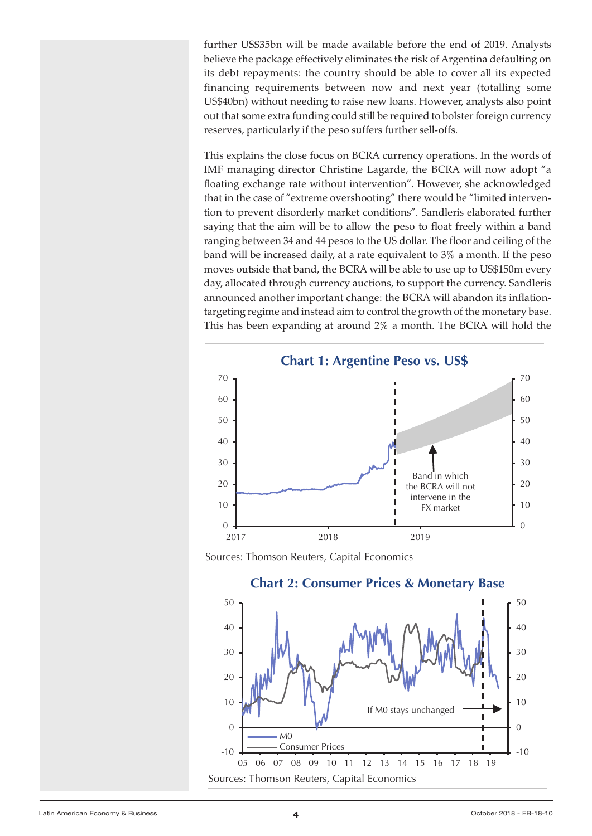further US\$35bn will be made available before the end of 2019. Analysts believe the package effectively eliminates the risk of Argentina defaulting on<br>x The short point, though, is that the credit that could be drawn down between now and end-19 covers that the **EXERATE CONFIDERATE:** the country should be able to cover all its expected the developer and the country should be developed to cover an incorporate of the control of the control of the country should be developed to the control of the control of the control of the control of the control of the c US\$40bn) without needing to raise new loans. However, analysts also point contained in next year out that some extra funding could still be required to bolster foreign currency For that some extra rations geed sum se required to solver reregived relay.<br>These reserves, particularly if the peso suffers further sell-offs.

**This explains the close focus on BCRA currency operations. In the words of**  $\frac{1}{2}$ The explana the close focus of Definitional operations. In the world's or floating exchange rate without intervention". However, she acknowledged that in the case of "extreme overshooting" there would be "limited intervention to prevent disorderly market conditions". Sandleris elaborated further saying that the aim will be to allow the peso to float freely within a band ranging between 34 and 44 pesos to the US dollar. The floor and ceiling of the ranging between 54 and 44 pesos to the US dollar. The floor and celling or the<br>band will be increased daily, at a rate equivalent to 3% a month. If the peso moves outside that band, the BCRA will be able to use up to US\$150m every day, allocated through currency auctions, to support the currency. Sandleris<br>exposureed another important changes the BCBA will sharden its inflation announced another important change: the BCRA will abandon its inflation-<br>announced another important change: the BCRA will abandon its inflationtargeting regime and instead aim to control the growth of the monetary base. **Example 2.1 This has been expanding at around 2% a month. The BCRA will hold the** 



Sources: Thomson Reuters, Capital Economics



**Chart 2: Consumer Prices & Monetary Base**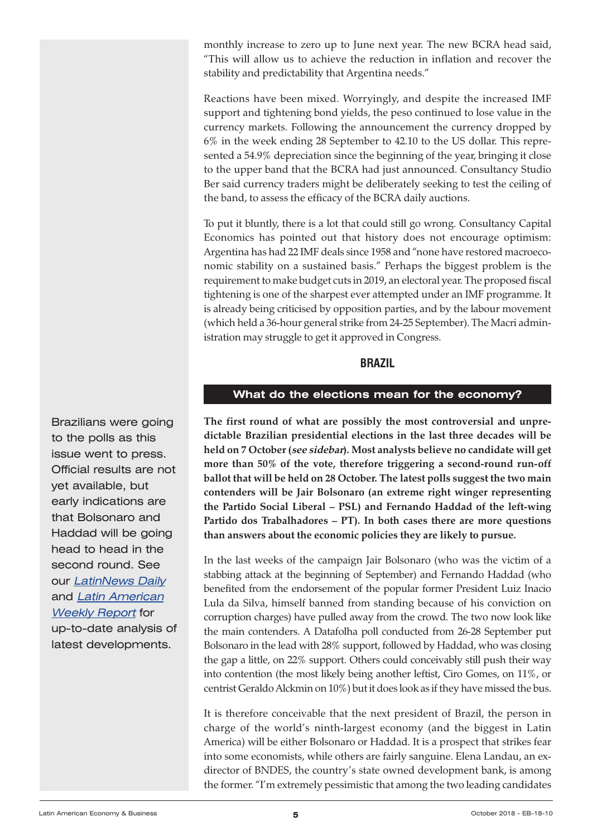<span id="page-4-0"></span>monthly increase to zero up to June next year. The new BCRA head said, "This will allow us to achieve the reduction in inflation and recover the stability and predictability that Argentina needs."

Reactions have been mixed. Worryingly, and despite the increased IMF support and tightening bond yields, the peso continued to lose value in the currency markets. Following the announcement the currency dropped by 6% in the week ending 28 September to 42.10 to the US dollar. This represented a 54.9% depreciation since the beginning of the year, bringing it close to the upper band that the BCRA had just announced. Consultancy Studio Ber said currency traders might be deliberately seeking to test the ceiling of the band, to assess the efficacy of the BCRA daily auctions.

To put it bluntly, there is a lot that could still go wrong. Consultancy Capital Economics has pointed out that history does not encourage optimism: Argentina has had 22 IMF deals since 1958 and "none have restored macroeconomic stability on a sustained basis." Perhaps the biggest problem is the requirement to make budget cuts in 2019, an electoral year. The proposed fiscal tightening is one of the sharpest ever attempted under an IMF programme. It is already being criticised by opposition parties, and by the labour movement (which held a 36-hour general strike from 24-25 September). The Macri administration may struggle to get it approved in Congress.

#### **BRAzIL**

#### **What do the elections mean for the economy?**

**The first round of what are possibly the most controversial and unpredictable Brazilian presidential elections in the last three decades will be held on 7 October (see sidebar). Most analysts believe no candidate will get more than 50% of the vote, therefore triggering a second-round run-off ballot that will be held on 28 October. The latest polls suggest the two main contenders will be Jair Bolsonaro (an extreme right winger representing the Partido Social Liberal – PSL) and Fernando Haddad of the left-wing Partido dos Trabalhadores – PT). In both cases there are more questions than answers about the economic policies they are likely to pursue.**

In the last weeks of the campaign Jair Bolsonaro (who was the victim of a stabbing attack at the beginning of September) and Fernando Haddad (who benefited from the endorsement of the popular former President Luiz Inacio Lula da Silva, himself banned from standing because of his conviction on corruption charges) have pulled away from the crowd. The two now look like the main contenders. A Datafolha poll conducted from 26-28 September put Bolsonaro in the lead with 28% support, followed by Haddad, who was closing the gap a little, on 22% support. Others could conceivably still push their way into contention (the most likely being another leftist, Ciro Gomes, on 11%, or centrist Geraldo Alckmin on 10%) but it does look as if they have missed the bus.

It is therefore conceivable that the next president of Brazil, the person in charge of the world's ninth-largest economy (and the biggest in Latin America) will be either Bolsonaro or Haddad. It is a prospect that strikes fear into some economists, while others are fairly sanguine. Elena Landau, an exdirector of BNDES, the country's state owned development bank, is among the former. "I'm extremely pessimistic that among the two leading candidates

Brazilians were going to the polls as this issue went to press. Official results are not yet available, but early indications are that Bolsonaro and Haddad will be going head to head in the second round. See our [LatinNews](https://latinnews.com/component/k2/itemlist/category/3.html?archive=true&archive_id=3) Daily and Latin [American](https://latinnews.com/component/k2/itemlist/category/33.html?archive=true&archive_id=33) **[Weekly](https://latinnews.com/component/k2/itemlist/category/33.html?archive=true&archive_id=33) Report for** up-to-date analysis of latest developments.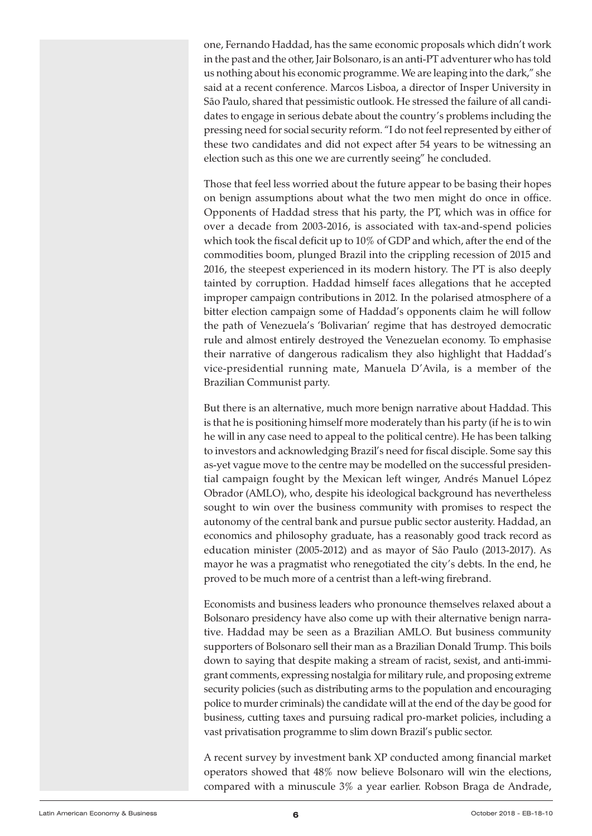one, Fernando Haddad, has the same economic proposals which didn't work in the past and the other, Jair Bolsonaro, is an anti-PT adventurer who has told us nothing about his economic programme. We are leaping into the dark," she said at a recent conference. Marcos Lisboa, a director of Insper University in São Paulo, shared that pessimistic outlook. He stressed the failure of all candidates to engage in serious debate about the country's problems including the pressing need for social security reform. "I do not feel represented by either of these two candidates and did not expect after 54 years to be witnessing an election such as this one we are currently seeing" he concluded.

Those that feel less worried about the future appear to be basing their hopes on benign assumptions about what the two men might do once in office. Opponents of Haddad stress that his party, the PT, which was in office for over a decade from 2003-2016, is associated with tax-and-spend policies which took the fiscal deficit up to 10% of GDP and which, after the end of the commodities boom, plunged Brazil into the crippling recession of 2015 and 2016, the steepest experienced in its modern history. The PT is also deeply tainted by corruption. Haddad himself faces allegations that he accepted improper campaign contributions in 2012. In the polarised atmosphere of a bitter election campaign some of Haddad's opponents claim he will follow the path of Venezuela's 'Bolivarian' regime that has destroyed democratic rule and almost entirely destroyed the Venezuelan economy. To emphasise their narrative of dangerous radicalism they also highlight that Haddad's vice-presidential running mate, Manuela D'Avila, is a member of the Brazilian Communist party.

But there is an alternative, much more benign narrative about Haddad. This is that he is positioning himself more moderately than his party (if he is to win he will in any case need to appeal to the political centre). He has been talking to investors and acknowledging Brazil's need for fiscal disciple. Some say this as-yet vague move to the centre may be modelled on the successful presidential campaign fought by the Mexican left winger, Andrés Manuel López Obrador (AMLO), who, despite his ideological background has nevertheless sought to win over the business community with promises to respect the autonomy of the central bank and pursue public sector austerity. Haddad, an economics and philosophy graduate, has a reasonably good track record as education minister (2005-2012) and as mayor of São Paulo (2013-2017). As mayor he was a pragmatist who renegotiated the city's debts. In the end, he proved to be much more of a centrist than a left-wing firebrand.

Economists and business leaders who pronounce themselves relaxed about a Bolsonaro presidency have also come up with their alternative benign narrative. Haddad may be seen as a Brazilian AMLO. But business community supporters of Bolsonaro sell their man as a Brazilian Donald Trump. This boils down to saying that despite making a stream of racist, sexist, and anti-immigrant comments, expressing nostalgia for military rule, and proposing extreme security policies (such as distributing arms to the population and encouraging police to murder criminals) the candidate will at the end of the day be good for business, cutting taxes and pursuing radical pro-market policies, including a vast privatisation programme to slim down Brazil's public sector.

A recent survey by investment bank XP conducted among financial market operators showed that 48% now believe Bolsonaro will win the elections, compared with a minuscule 3% a year earlier. Robson Braga de Andrade,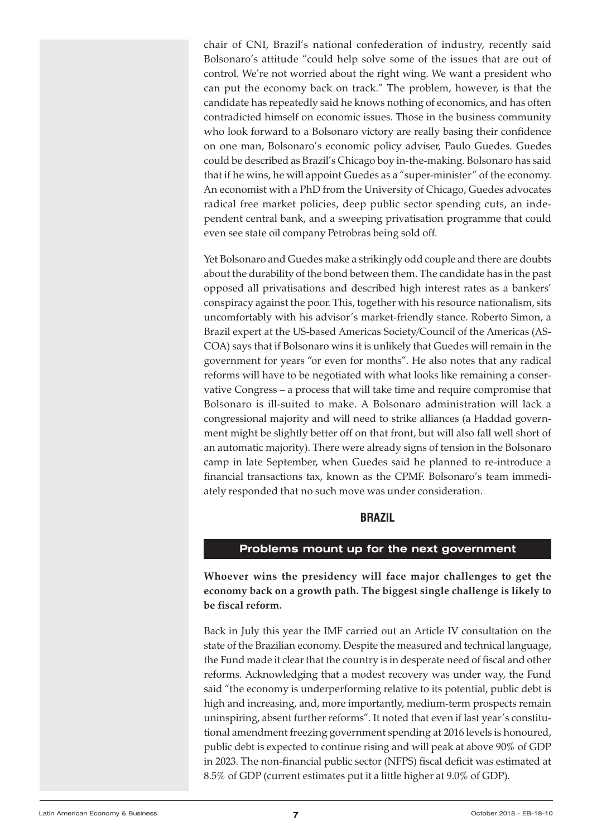<span id="page-6-0"></span>chair of CNI, Brazil's national confederation of industry, recently said Bolsonaro's attitude "could help solve some of the issues that are out of control. We're not worried about the right wing. We want a president who can put the economy back on track." The problem, however, is that the candidate has repeatedly said he knows nothing of economics, and has often contradicted himself on economic issues. Those in the business community who look forward to a Bolsonaro victory are really basing their confidence on one man, Bolsonaro's economic policy adviser, Paulo Guedes. Guedes could be described as Brazil's Chicago boy in-the-making. Bolsonaro has said that if he wins, he will appoint Guedes as a "super-minister" of the economy. An economist with a PhD from the University of Chicago, Guedes advocates radical free market policies, deep public sector spending cuts, an independent central bank, and a sweeping privatisation programme that could even see state oil company Petrobras being sold off.

Yet Bolsonaro and Guedes make a strikingly odd couple and there are doubts about the durability of the bond between them. The candidate has in the past opposed all privatisations and described high interest rates as a bankers' conspiracy against the poor. This, together with his resource nationalism, sits uncomfortably with his advisor's market-friendly stance. Roberto Simon, a Brazil expert at the US-based Americas Society/Council of the Americas (AS-COA) says that if Bolsonaro wins it is unlikely that Guedes will remain in the government for years "or even for months". He also notes that any radical reforms will have to be negotiated with what looks like remaining a conservative Congress – a process that will take time and require compromise that Bolsonaro is ill-suited to make. A Bolsonaro administration will lack a congressional majority and will need to strike alliances (a Haddad government might be slightly better off on that front, but will also fall well short of an automatic majority). There were already signs of tension in the Bolsonaro camp in late September, when Guedes said he planned to re-introduce a financial transactions tax, known as the CPMF. Bolsonaro's team immediately responded that no such move was under consideration.

#### **BRAzIL**

#### **Problems mount up for the next government**

**Whoever wins the presidency will face major challenges to get the economy back on a growth path. The biggest single challenge is likely to be fiscal reform.**

Back in July this year the IMF carried out an Article IV consultation on the state of the Brazilian economy. Despite the measured and technical language, the Fund made it clear that the country is in desperate need of fiscal and other reforms. Acknowledging that a modest recovery was under way, the Fund said "the economy is underperforming relative to its potential, public debt is high and increasing, and, more importantly, medium-term prospects remain uninspiring, absent further reforms". It noted that even if last year's constitutional amendment freezing government spending at 2016 levels is honoured, public debt is expected to continue rising and will peak at above 90% of GDP in 2023. The non-financial public sector (NFPS) fiscal deficit was estimated at 8.5% of GDP (current estimates put it a little higher at 9.0% of GDP).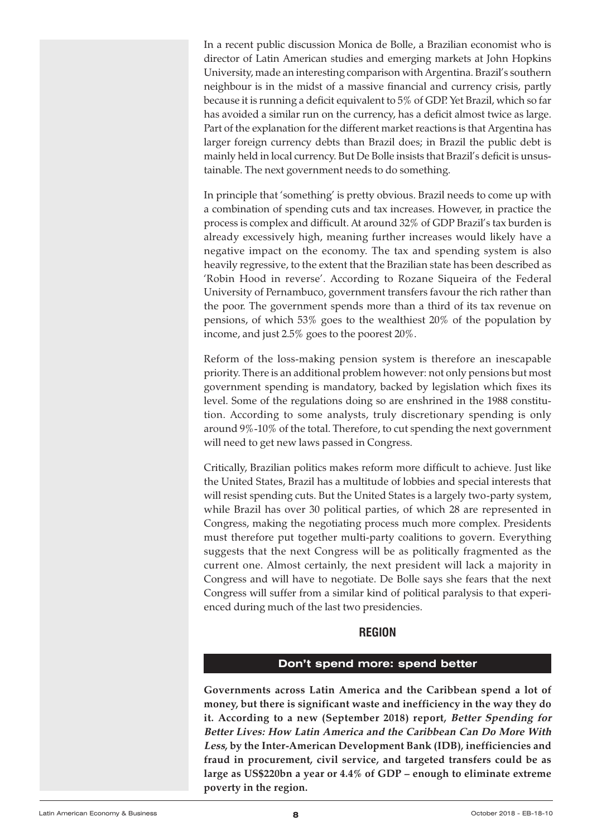<span id="page-7-0"></span>In a recent public discussion Monica de Bolle, a Brazilian economist who is director of Latin American studies and emerging markets at John Hopkins University, made an interesting comparison with Argentina. Brazil's southern neighbour is in the midst of a massive financial and currency crisis, partly because it is running a deficit equivalent to 5% of GDP. Yet Brazil, which so far has avoided a similar run on the currency, has a deficit almost twice as large. Part of the explanation for the different market reactions is that Argentina has larger foreign currency debts than Brazil does; in Brazil the public debt is mainly held in local currency. But De Bolle insists that Brazil's deficit is unsustainable. The next government needs to do something.

In principle that 'something' is pretty obvious. Brazil needs to come up with a combination of spending cuts and tax increases. However, in practice the process is complex and difficult. At around 32% of GDP Brazil's tax burden is already excessively high, meaning further increases would likely have a negative impact on the economy. The tax and spending system is also heavily regressive, to the extent that the Brazilian state has been described as 'Robin Hood in reverse'. According to Rozane Siqueira of the Federal University of Pernambuco, government transfers favour the rich rather than the poor. The government spends more than a third of its tax revenue on pensions, of which 53% goes to the wealthiest 20% of the population by income, and just 2.5% goes to the poorest 20%.

Reform of the loss-making pension system is therefore an inescapable priority. There is an additional problem however: not only pensions but most government spending is mandatory, backed by legislation which fixes its level. Some of the regulations doing so are enshrined in the 1988 constitution. According to some analysts, truly discretionary spending is only around 9%-10% of the total. Therefore, to cut spending the next government will need to get new laws passed in Congress.

Critically, Brazilian politics makes reform more difficult to achieve. Just like the United States, Brazil has a multitude of lobbies and special interests that will resist spending cuts. But the United States is a largely two-party system, while Brazil has over 30 political parties, of which 28 are represented in Congress, making the negotiating process much more complex. Presidents must therefore put together multi-party coalitions to govern. Everything suggests that the next Congress will be as politically fragmented as the current one. Almost certainly, the next president will lack a majority in Congress and will have to negotiate. De Bolle says she fears that the next Congress will suffer from a similar kind of political paralysis to that experienced during much of the last two presidencies.

# **REGION**

#### **Don't spend more: spend better**

**Governments across Latin America and the Caribbean spend a lot of money, but there is significant waste and inefficiency in the way they do it. According to a new (September 2018) report, Better Spending for Better Lives: How Latin America and the Caribbean Can Do More With Less, by the Inter-American Development Bank (IDB), inefficiencies and fraud in procurement, civil service, and targeted transfers could be as large as US\$220bn a year or 4.4% of GDP – enough to eliminate extreme poverty in the region.**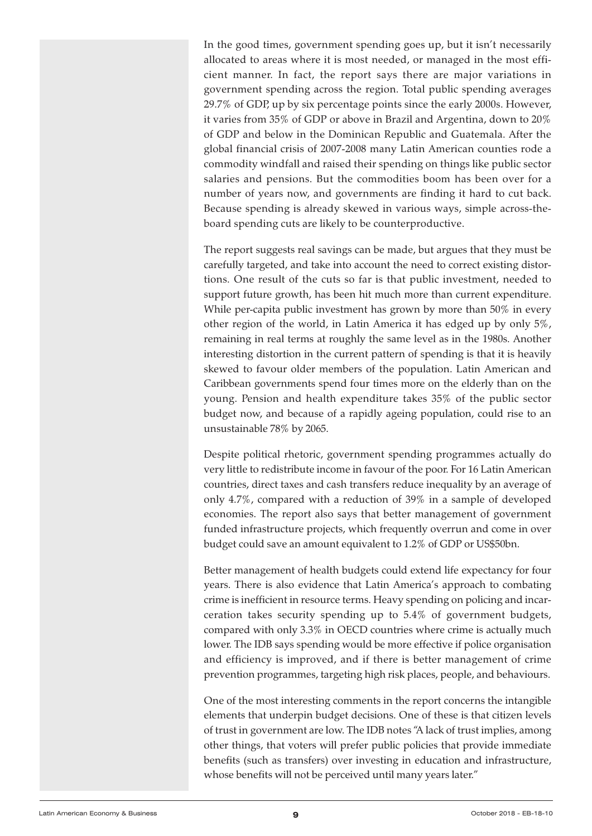In the good times, government spending goes up, but it isn't necessarily allocated to areas where it is most needed, or managed in the most efficient manner. In fact, the report says there are major variations in government spending across the region. Total public spending averages 29.7% of GDP, up by six percentage points since the early 2000s. However, it varies from 35% of GDP or above in Brazil and Argentina, down to 20% of GDP and below in the Dominican Republic and Guatemala. After the global financial crisis of 2007-2008 many Latin American counties rode a commodity windfall and raised their spending on things like public sector salaries and pensions. But the commodities boom has been over for a number of years now, and governments are finding it hard to cut back. Because spending is already skewed in various ways, simple across-theboard spending cuts are likely to be counterproductive.

The report suggests real savings can be made, but argues that they must be carefully targeted, and take into account the need to correct existing distortions. One result of the cuts so far is that public investment, needed to support future growth, has been hit much more than current expenditure. While per-capita public investment has grown by more than 50% in every other region of the world, in Latin America it has edged up by only 5%, remaining in real terms at roughly the same level as in the 1980s. Another interesting distortion in the current pattern of spending is that it is heavily skewed to favour older members of the population. Latin American and Caribbean governments spend four times more on the elderly than on the young. Pension and health expenditure takes 35% of the public sector budget now, and because of a rapidly ageing population, could rise to an unsustainable 78% by 2065.

Despite political rhetoric, government spending programmes actually do very little to redistribute income in favour of the poor. For 16 Latin American countries, direct taxes and cash transfers reduce inequality by an average of only 4.7%, compared with a reduction of 39% in a sample of developed economies. The report also says that better management of government funded infrastructure projects, which frequently overrun and come in over budget could save an amount equivalent to 1.2% of GDP or US\$50bn.

Better management of health budgets could extend life expectancy for four years. There is also evidence that Latin America's approach to combating crime is inefficient in resource terms. Heavy spending on policing and incarceration takes security spending up to 5.4% of government budgets, compared with only 3.3% in OECD countries where crime is actually much lower. The IDB says spending would be more effective if police organisation and efficiency is improved, and if there is better management of crime prevention programmes, targeting high risk places, people, and behaviours.

One of the most interesting comments in the report concerns the intangible elements that underpin budget decisions. One of these is that citizen levels of trust in government are low. The IDB notes "A lack of trust implies, among other things, that voters will prefer public policies that provide immediate benefits (such as transfers) over investing in education and infrastructure, whose benefits will not be perceived until many years later."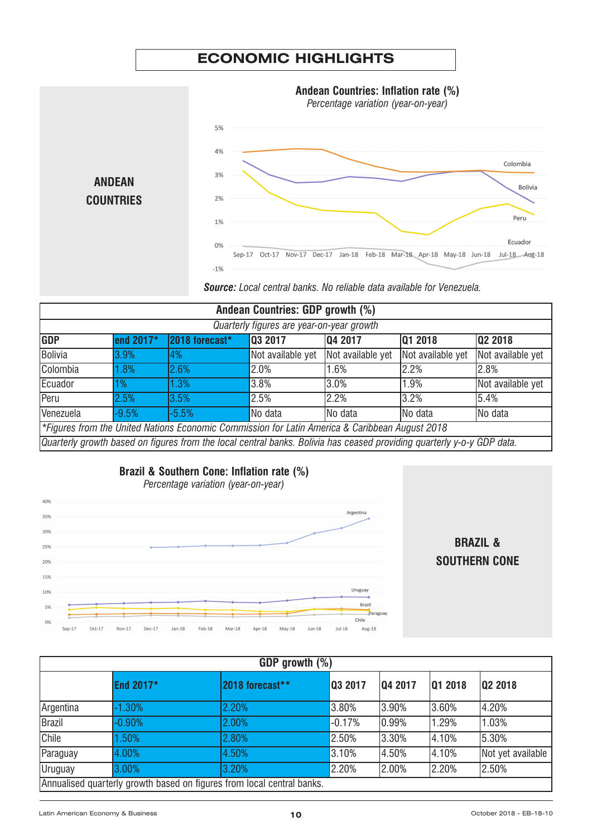# **ECONOMIC HIGHLIGHTS**

<span id="page-9-0"></span>

| Andean Countries: GDP growth (%)                                                                                       |           |                |                   |                   |                   |                   |
|------------------------------------------------------------------------------------------------------------------------|-----------|----------------|-------------------|-------------------|-------------------|-------------------|
| Quarterly figures are year-on-year growth                                                                              |           |                |                   |                   |                   |                   |
| <b>GDP</b>                                                                                                             | end 2017* | 2018 forecast* | 03 2017           | 04 2017           | 01 2018           | 02 2018           |
| Bolivia                                                                                                                | 3.9%      | 4%             | Not available yet | Not available yet | Not available yet | Not available yet |
| Colombia                                                                                                               | 1.8%      | 2.6%           | 2.0%              | 1.6%              | 2.2%              | 2.8%              |
| Ecuador                                                                                                                | 1%        | 1.3%           | 3.8%              | 3.0%              | 1.9%              | Not available yet |
| Peru                                                                                                                   | 2.5%      | 3.5%           | 2.5%              | 2.2%              | 3.2%              | 5.4%              |
| Venezuela                                                                                                              | $-9.5%$   | $-5.5%$        | No data           | INo data          | INo data          | No data           |
| *Figures from the United Nations Economic Commission for Latin America & Caribbean August 2018                         |           |                |                   |                   |                   |                   |
| Quarterly growth based on figures from the local central banks. Bolivia has ceased providing quarterly y-o-y GDP data. |           |                |                   |                   |                   |                   |

# **Brazil & Southern Cone: Inflation rate (%)**



**BRAzIL & SOUTHERN CONE**

| GDP growth (%) |           |                                                                        |          |         |                |                   |  |
|----------------|-----------|------------------------------------------------------------------------|----------|---------|----------------|-------------------|--|
|                | End 2017* | 2018 forecast**                                                        | 03 2017  | 04 2017 | <b>Q1 2018</b> | Q2 2018           |  |
| Argentina      | $-1.30%$  | 2.20%                                                                  | 3.80%    | 3.90%   | 3.60%          | 4.20%             |  |
| Brazil         | $-0.90%$  | 2.00%                                                                  | $-0.17%$ | 10.99%  | 1.29%          | 1.03%             |  |
| Chile          | 1.50%     | 2.80%                                                                  | 2.50%    | 3.30%   | 4.10%          | 5.30%             |  |
| Paraguay       | 4.00%     | 4.50%                                                                  | 3.10%    | 4.50%   | 4.10%          | Not yet available |  |
| Uruguay        | 3.00%     | 3.20%                                                                  | 2.20%    | 2.00%   | 2.20%          | 2.50%             |  |
|                |           | Annualised quarterly growth based on figures from local central banks. |          |         |                |                   |  |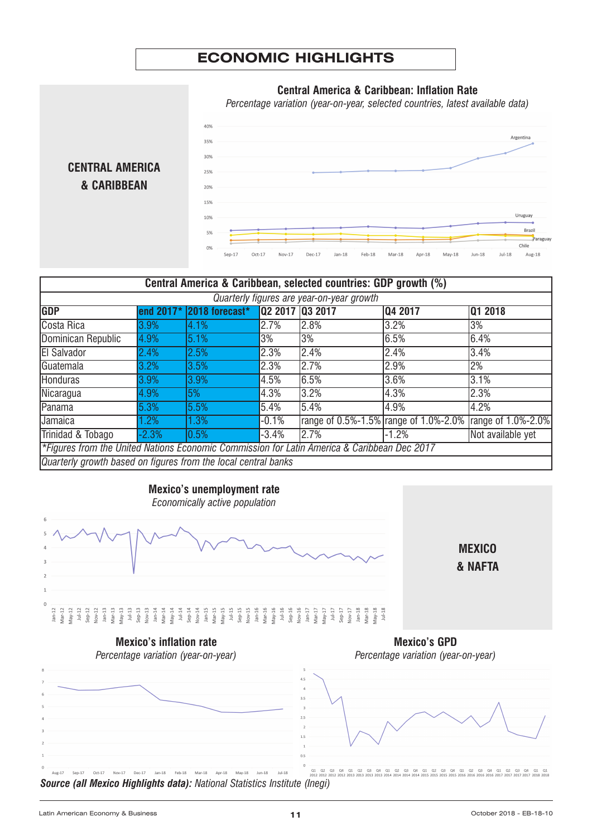# **ECONOMIC HIGHLIGHTS**



| Central America & Caribbean, selected countries: GDP growth (%)                             |           |                |                 |      |                                       |                    |  |
|---------------------------------------------------------------------------------------------|-----------|----------------|-----------------|------|---------------------------------------|--------------------|--|
| Quarterly figures are year-on-year growth                                                   |           |                |                 |      |                                       |                    |  |
| <b>GDP</b>                                                                                  | end 2017* | 2018 forecast* | 02 2017 03 2017 |      | 04 2017                               | 01 2018            |  |
| Costa Rica                                                                                  | 3.9%      | 4.1%           | 2.7%            | 2.8% | 3.2%                                  | 3%                 |  |
| Dominican Republic                                                                          | 4.9%      | 5.1%           | 3%              | 3%   | 6.5%                                  | 6.4%               |  |
| <b>El Salvador</b>                                                                          | 2.4%      | 2.5%           | 2.3%            | 2.4% | 2.4%                                  | 3.4%               |  |
| Guatemala                                                                                   | 3.2%      | 3.5%           | 2.3%            | 2.7% | 2.9%                                  | 2%                 |  |
| <b>Honduras</b>                                                                             | 3.9%      | 3.9%           | 4.5%            | 6.5% | 3.6%                                  | 3.1%               |  |
| Nicaragua                                                                                   | 4.9%      | 5%             | 4.3%            | 3.2% | 4.3%                                  | 2.3%               |  |
| Panama                                                                                      | 5.3%      | 5.5%           | 5.4%            | 5.4% | 4.9%                                  | 4.2%               |  |
| Jamaica                                                                                     | .2%       | 1.3%           | $-0.1%$         |      | range of 0.5%-1.5% range of 1.0%-2.0% | range of 1.0%-2.0% |  |
| Trinidad & Tobago                                                                           | $-2.3%$   | $10.5\%$       | $-3.4%$         | 2.7% | $-1.2%$                               | Not available yet  |  |
| *Figures from the United Nations Economic Commission for Latin America & Caribbean Dec 2017 |           |                |                 |      |                                       |                    |  |
| Quarterly growth based on figures from the local central banks                              |           |                |                 |      |                                       |                    |  |



Latin American Economy & Business **11** October <sup>2018</sup> - EB-18-10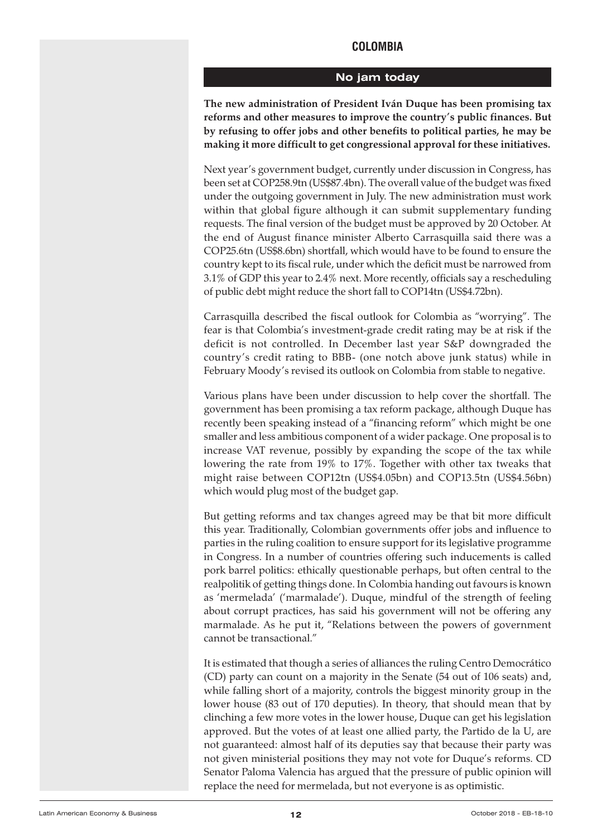# **COLOMBIA**

#### **No jam today**

<span id="page-11-0"></span>**The new administration of President Iván Duque has been promising tax reforms and other measures to improve the country's public finances. But by refusing to offer jobs and other benefits to political parties, he may be making it more difficult to get congressional approval for these initiatives.**

Next year's government budget, currently under discussion in Congress, has been set at COP258.9tn (US\$87.4bn). The overall value of the budget was fixed under the outgoing government in July. The new administration must work within that global figure although it can submit supplementary funding requests. The final version of the budget must be approved by 20 October. At the end of August finance minister Alberto Carrasquilla said there was a COP25.6tn (US\$8.6bn) shortfall, which would have to be found to ensure the country kept to its fiscal rule, under which the deficit must be narrowed from 3.1% of GDP this year to 2.4% next. More recently, officials say a rescheduling of public debt might reduce the short fall to COP14tn (US\$4.72bn).

Carrasquilla described the fiscal outlook for Colombia as "worrying". The fear is that Colombia's investment-grade credit rating may be at risk if the deficit is not controlled. In December last year S&P downgraded the country's credit rating to BBB- (one notch above junk status) while in February Moody's revised its outlook on Colombia from stable to negative.

Various plans have been under discussion to help cover the shortfall. The government has been promising a tax reform package, although Duque has recently been speaking instead of a "financing reform" which might be one smaller and less ambitious component of a wider package. One proposal is to increase VAT revenue, possibly by expanding the scope of the tax while lowering the rate from 19% to 17%. Together with other tax tweaks that might raise between COP12tn (US\$4.05bn) and COP13.5tn (US\$4.56bn) which would plug most of the budget gap.

But getting reforms and tax changes agreed may be that bit more difficult this year. Traditionally, Colombian governments offer jobs and influence to parties in the ruling coalition to ensure support for its legislative programme in Congress. In a number of countries offering such inducements is called pork barrel politics: ethically questionable perhaps, but often central to the realpolitik of getting things done. In Colombia handing out favours is known as 'mermelada' ('marmalade'). Duque, mindful of the strength of feeling about corrupt practices, has said his government will not be offering any marmalade. As he put it, "Relations between the powers of government cannot be transactional."

It is estimated that though a series of alliances the ruling Centro Democrático (CD) party can count on a majority in the Senate (54 out of 106 seats) and, while falling short of a majority, controls the biggest minority group in the lower house (83 out of 170 deputies). In theory, that should mean that by clinching a few more votes in the lower house, Duque can get his legislation approved. But the votes of at least one allied party, the Partido de la U, are not guaranteed: almost half of its deputies say that because their party was not given ministerial positions they may not vote for Duque's reforms. CD Senator Paloma Valencia has argued that the pressure of public opinion will replace the need for mermelada, but not everyone is as optimistic.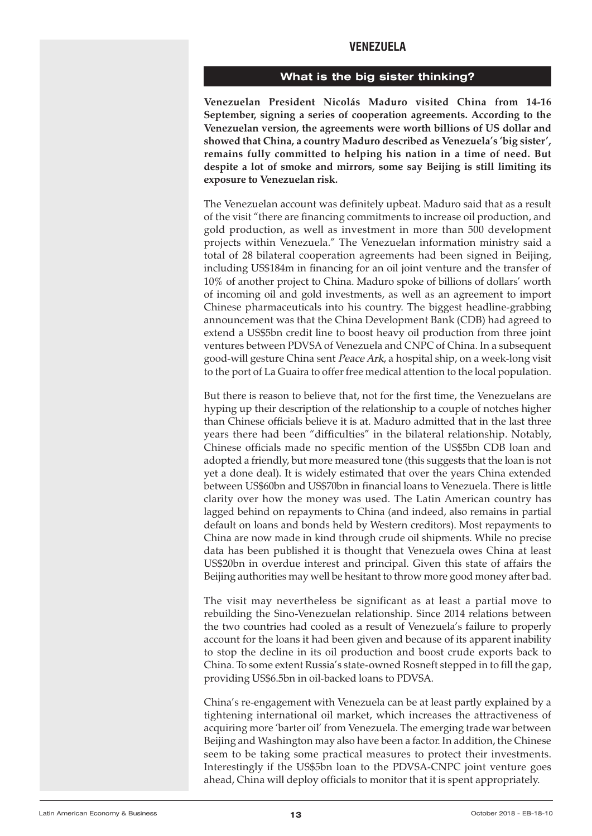# **VENEzUELA**

#### **What is the big sister thinking?**

<span id="page-12-0"></span>**Venezuelan President Nicolás Maduro visited China from 14-16 September, signing a series of cooperation agreements. According to the Venezuelan version, the agreements were worth billions of US dollar and showed that China, a country Maduro described as Venezuela's 'big sister', remains fully committed to helping his nation in a time of need. But despite a lot of smoke and mirrors, some say Beijing is still limiting its exposure to Venezuelan risk.**

The Venezuelan account was definitely upbeat. Maduro said that as a result of the visit "there are financing commitments to increase oil production, and gold production, as well as investment in more than 500 development projects within Venezuela." The Venezuelan information ministry said a total of 28 bilateral cooperation agreements had been signed in Beijing, including US\$184m in financing for an oil joint venture and the transfer of 10% of another project to China. Maduro spoke of billions of dollars' worth of incoming oil and gold investments, as well as an agreement to import Chinese pharmaceuticals into his country. The biggest headline-grabbing announcement was that the China Development Bank (CDB) had agreed to extend a US\$5bn credit line to boost heavy oil production from three joint ventures between PDVSA of Venezuela and CNPC of China. In a subsequent good-will gesture China sent Peace Ark, a hospital ship, on a week-long visit to the port of La Guaira to offer free medical attention to the local population.

But there is reason to believe that, not for the first time, the Venezuelans are hyping up their description of the relationship to a couple of notches higher than Chinese officials believe it is at. Maduro admitted that in the last three years there had been "difficulties" in the bilateral relationship. Notably, Chinese officials made no specific mention of the US\$5bn CDB loan and adopted a friendly, but more measured tone (this suggests that the loan is not yet a done deal). It is widely estimated that over the years China extended between US\$60bn and US\$70bn in financial loans to Venezuela. There is little clarity over how the money was used. The Latin American country has lagged behind on repayments to China (and indeed, also remains in partial default on loans and bonds held by Western creditors). Most repayments to China are now made in kind through crude oil shipments. While no precise data has been published it is thought that Venezuela owes China at least US\$20bn in overdue interest and principal. Given this state of affairs the Beijing authorities may well be hesitant to throw more good money after bad.

The visit may nevertheless be significant as at least a partial move to rebuilding the Sino-Venezuelan relationship. Since 2014 relations between the two countries had cooled as a result of Venezuela's failure to properly account for the loans it had been given and because of its apparent inability to stop the decline in its oil production and boost crude exports back to China. To some extent Russia's state-owned Rosneft stepped in to fill the gap, providing US\$6.5bn in oil-backed loans to PDVSA.

China's re-engagement with Venezuela can be at least partly explained by a tightening international oil market, which increases the attractiveness of acquiring more 'barter oil' from Venezuela. The emerging trade war between Beijing and Washington may also have been a factor. In addition, the Chinese seem to be taking some practical measures to protect their investments. Interestingly if the US\$5bn loan to the PDVSA-CNPC joint venture goes ahead, China will deploy officials to monitor that it is spent appropriately.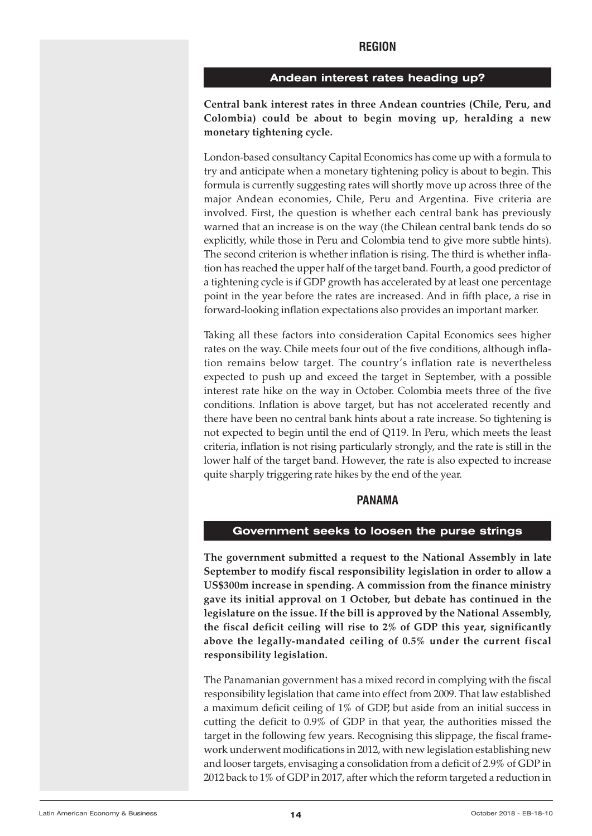# **REGION**

#### **Andean interest rates heading up?**

<span id="page-13-0"></span>**Central bank interest rates in three Andean countries (Chile, Peru, and Colombia) could be about to begin moving up, heralding a new monetary tightening cycle.**

London-based consultancy Capital Economics has come up with a formula to try and anticipate when a monetary tightening policy is about to begin. This formula is currently suggesting rates will shortly move up across three of the major Andean economies, Chile, Peru and Argentina. Five criteria are involved. First, the question is whether each central bank has previously warned that an increase is on the way (the Chilean central bank tends do so explicitly, while those in Peru and Colombia tend to give more subtle hints). The second criterion is whether inflation is rising. The third is whether inflation has reached the upper half of the target band. Fourth, a good predictor of a tightening cycle is if GDP growth has accelerated by at least one percentage point in the year before the rates are increased. And in fifth place, a rise in forward-looking inflation expectations also provides an important marker.

Taking all these factors into consideration Capital Economics sees higher rates on the way. Chile meets four out of the five conditions, although inflation remains below target. The country's inflation rate is nevertheless expected to push up and exceed the target in September, with a possible interest rate hike on the way in October. Colombia meets three of the five conditions. Inflation is above target, but has not accelerated recently and there have been no central bank hints about a rate increase. So tightening is not expected to begin until the end of Q119. In Peru, which meets the least criteria, inflation is not rising particularly strongly, and the rate is still in the lower half of the target band. However, the rate is also expected to increase quite sharply triggering rate hikes by the end of the year.

#### **PANAMA**

#### **Government seeks to loosen the purse strings**

**The government submitted a request to the National Assembly in late September to modify fiscal responsibility legislation in order to allow a US\$300m increase in spending. A commission from the finance ministry gave its initial approval on 1 October, but debate has continued in the legislature on the issue. If the bill is approved by the National Assembly, the fiscal deficit ceiling will rise to 2% of GDP this year, significantly above the legally-mandated ceiling of 0.5% under the current fiscal responsibility legislation.**

The Panamanian government has a mixed record in complying with the fiscal responsibility legislation that came into effect from 2009. That law established a maximum deficit ceiling of 1% of GDP, but aside from an initial success in cutting the deficit to 0.9% of GDP in that year, the authorities missed the target in the following few years. Recognising this slippage, the fiscal framework underwent modifications in 2012, with new legislation establishing new and looser targets, envisaging a consolidation from a deficit of 2.9% of GDP in 2012 back to 1% of GDP in 2017, after which the reform targeted a reduction in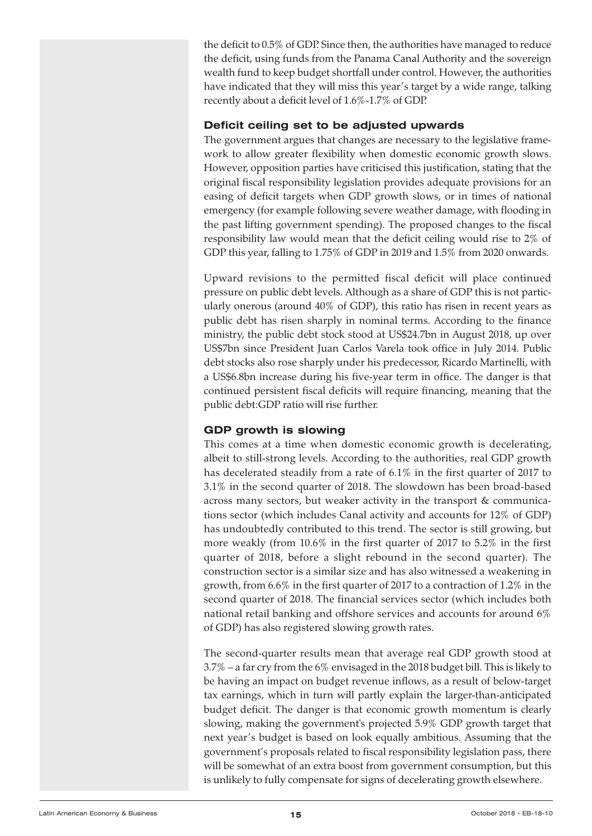the deficit to 0.5% of GDP. Since then, the authorities have managed to reduce the deficit, using funds from the Panama Canal Authority and the sovereign wealth fund to keep budget shortfall under control. However, the authorities have indicated that they will miss this year's target by a wide range, talking recently about a deficit level of 1.6%-1.7% of GDP.

## **Deficit ceiling set to be adjusted upwards**

The government argues that changes are necessary to the legislative framework to allow greater flexibility when domestic economic growth slows. However, opposition parties have criticised this justification, stating that the original fiscal responsibility legislation provides adequate provisions for an easing of deficit targets when GDP growth slows, or in times of national emergency (for example following severe weather damage, with flooding in the past lifting government spending). The proposed changes to the fiscal responsibility law would mean that the deficit ceiling would rise to 2% of GDP this year, falling to 1.75% of GDP in 2019 and 1.5% from 2020 onwards.

Upward revisions to the permitted fiscal deficit will place continued pressure on public debt levels. Although as a share of GDP this is not particularly onerous (around 40% of GDP), this ratio has risen in recent years as public debt has risen sharply in nominal terms. According to the finance ministry, the public debt stock stood at US\$24.7bn in August 2018, up over US\$7bn since President Juan Carlos Varela took office in July 2014. Public debt stocks also rose sharply under his predecessor, Ricardo Martinelli, with a US\$6.8bn increase during his five-year term in office. The danger is that continued persistent fiscal deficits will require financing, meaning that the public debt:GDP ratio will rise further.

# **GDP growth is slowing**

This comes at a time when domestic economic growth is decelerating, albeit to still-strong levels. According to the authorities, real GDP growth has decelerated steadily from a rate of 6.1% in the first quarter of 2017 to 3.1% in the second quarter of 2018. The slowdown has been broad-based across many sectors, but weaker activity in the transport & communications sector (which includes Canal activity and accounts for 12% of GDP) has undoubtedly contributed to this trend. The sector is still growing, but more weakly (from 10.6% in the first quarter of 2017 to 5.2% in the first quarter of 2018, before a slight rebound in the second quarter). The construction sector is a similar size and has also witnessed a weakening in growth, from 6.6% in the first quarter of 2017 to a contraction of 1.2% in the second quarter of 2018. The financial services sector (which includes both national retail banking and offshore services and accounts for around 6% of GDP) has also registered slowing growth rates.

The second-quarter results mean that average real GDP growth stood at 3.7% – a far cry from the 6% envisaged in the 2018 budget bill. This is likely to be having an impact on budget revenue inflows, as a result of below-target tax earnings, which in turn will partly explain the larger-than-anticipated budget deficit. The danger is that economic growth momentum is clearly slowing, making the government's projected 5.9% GDP growth target that next year's budget is based on look equally ambitious. Assuming that the government's proposals related to fiscal responsibility legislation pass, there will be somewhat of an extra boost from government consumption, but this is unlikely to fully compensate for signs of decelerating growth elsewhere.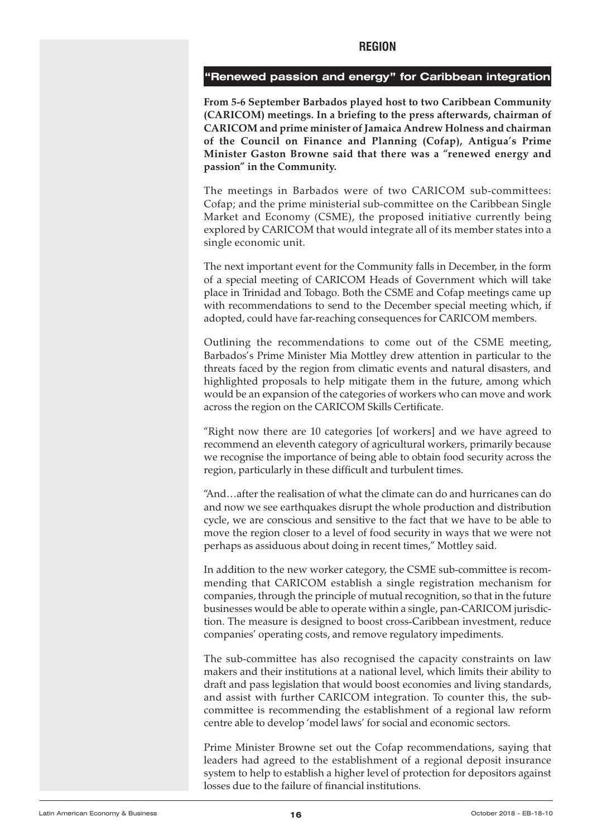#### <span id="page-15-0"></span>**"Renewed passion and energy" for Caribbean integration**

**From 5-6 September Barbados played host to two Caribbean Community (CARICOM) meetings. In a briefing to the press afterwards, chairman of CARICOM and prime minister of Jamaica Andrew Holness and chairman of the Council on Finance and Planning (Cofap), Antigua's Prime Minister Gaston Browne said that there was a "renewed energy and passion" in the Community.**

The meetings in Barbados were of two CARICOM sub-committees: Cofap; and the prime ministerial sub-committee on the Caribbean Single Market and Economy (CSME), the proposed initiative currently being explored by CARICOM that would integrate all of its member states into a single economic unit.

The next important event for the Community falls in December, in the form of a special meeting of CARICOM Heads of Government which will take place in Trinidad and Tobago. Both the CSME and Cofap meetings came up with recommendations to send to the December special meeting which, if adopted, could have far-reaching consequences for CARICOM members.

Outlining the recommendations to come out of the CSME meeting, Barbados's Prime Minister Mia Mottley drew attention in particular to the threats faced by the region from climatic events and natural disasters, and highlighted proposals to help mitigate them in the future, among which would be an expansion of the categories of workers who can move and work across the region on the CARICOM Skills Certificate.

"Right now there are 10 categories [of workers] and we have agreed to recommend an eleventh category of agricultural workers, primarily because we recognise the importance of being able to obtain food security across the region, particularly in these difficult and turbulent times.

"And…after the realisation of what the climate can do and hurricanes can do and now we see earthquakes disrupt the whole production and distribution cycle, we are conscious and sensitive to the fact that we have to be able to move the region closer to a level of food security in ways that we were not perhaps as assiduous about doing in recent times," Mottley said.

In addition to the new worker category, the CSME sub-committee is recommending that CARICOM establish a single registration mechanism for companies, through the principle of mutual recognition, so that in the future businesses would be able to operate within a single, pan-CARICOM jurisdiction. The measure is designed to boost cross-Caribbean investment, reduce companies' operating costs, and remove regulatory impediments.

The sub-committee has also recognised the capacity constraints on law makers and their institutions at a national level, which limits their ability to draft and pass legislation that would boost economies and living standards, and assist with further CARICOM integration. To counter this, the subcommittee is recommending the establishment of a regional law reform centre able to develop 'model laws' for social and economic sectors.

Prime Minister Browne set out the Cofap recommendations, saying that leaders had agreed to the establishment of a regional deposit insurance system to help to establish a higher level of protection for depositors against losses due to the failure of financial institutions.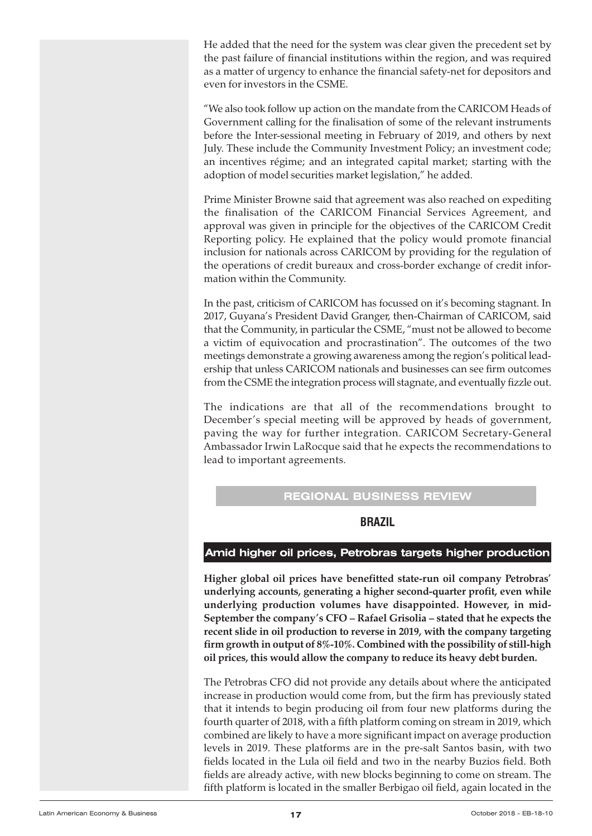<span id="page-16-0"></span>He added that the need for the system was clear given the precedent set by the past failure of financial institutions within the region, and was required as a matter of urgency to enhance the financial safety-net for depositors and even for investors in the CSME.

"We also took follow up action on the mandate from the CARICOM Heads of Government calling for the finalisation of some of the relevant instruments before the Inter-sessional meeting in February of 2019, and others by next July. These include the Community Investment Policy; an investment code; an incentives régime; and an integrated capital market; starting with the adoption of model securities market legislation," he added.

Prime Minister Browne said that agreement was also reached on expediting the finalisation of the CARICOM Financial Services Agreement, and approval was given in principle for the objectives of the CARICOM Credit Reporting policy. He explained that the policy would promote financial inclusion for nationals across CARICOM by providing for the regulation of the operations of credit bureaux and cross-border exchange of credit information within the Community.

In the past, criticism of CARICOM has focussed on it's becoming stagnant. In 2017, Guyana's President David Granger, then-Chairman of CARICOM, said that the Community, in particular the CSME, "must not be allowed to become a victim of equivocation and procrastination". The outcomes of the two meetings demonstrate a growing awareness among the region's political leadership that unless CARICOM nationals and businesses can see firm outcomes from the CSME the integration process will stagnate, and eventually fizzle out.

The indications are that all of the recommendations brought to December's special meeting will be approved by heads of government, paving the way for further integration. CARICOM Secretary-General Ambassador Irwin LaRocque said that he expects the recommendations to lead to important agreements.

# **REGIONAL BUSINESS REVIEW**

# **BRAzIL**

# **Amid higher oil prices, Petrobras targets higher production**

**Higher global oil prices have benefitted state-run oil company Petrobras' underlying accounts, generating a higher second-quarter profit, even while underlying production volumes have disappointed. However, in mid-September the company's CFO – Rafael Grisolia – stated that he expects the recent slide in oil production to reverse in 2019, with the company targeting firm growth in output of 8%-10%. Combined with the possibility of still-high oil prices, this would allow the company to reduce its heavy debt burden.**

The Petrobras CFO did not provide any details about where the anticipated increase in production would come from, but the firm has previously stated that it intends to begin producing oil from four new platforms during the fourth quarter of 2018, with a fifth platform coming on stream in 2019, which combined are likely to have a more significant impact on average production levels in 2019. These platforms are in the pre-salt Santos basin, with two fields located in the Lula oil field and two in the nearby Buzios field. Both fields are already active, with new blocks beginning to come on stream. The fifth platform is located in the smaller Berbigao oil field, again located in the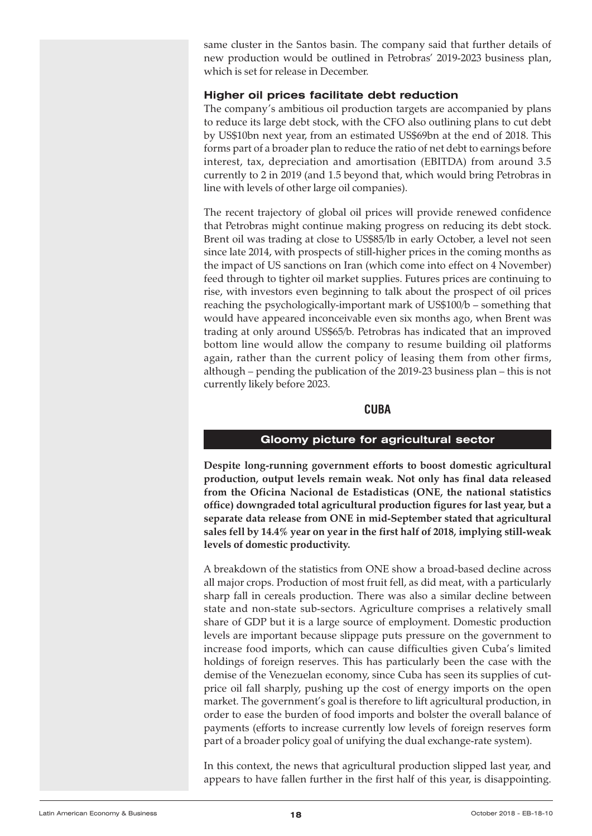<span id="page-17-0"></span>same cluster in the Santos basin. The company said that further details of new production would be outlined in Petrobras' 2019-2023 business plan, which is set for release in December.

#### **Higher oil prices facilitate debt reduction**

The company's ambitious oil production targets are accompanied by plans to reduce its large debt stock, with the CFO also outlining plans to cut debt by US\$10bn next year, from an estimated US\$69bn at the end of 2018. This forms part of a broader plan to reduce the ratio of net debt to earnings before interest, tax, depreciation and amortisation (EBITDA) from around 3.5 currently to 2 in 2019 (and 1.5 beyond that, which would bring Petrobras in line with levels of other large oil companies).

The recent trajectory of global oil prices will provide renewed confidence that Petrobras might continue making progress on reducing its debt stock. Brent oil was trading at close to US\$85/lb in early October, a level not seen since late 2014, with prospects of still-higher prices in the coming months as the impact of US sanctions on Iran (which come into effect on 4 November) feed through to tighter oil market supplies. Futures prices are continuing to rise, with investors even beginning to talk about the prospect of oil prices reaching the psychologically-important mark of US\$100/b – something that would have appeared inconceivable even six months ago, when Brent was trading at only around US\$65/b. Petrobras has indicated that an improved bottom line would allow the company to resume building oil platforms again, rather than the current policy of leasing them from other firms, although – pending the publication of the 2019-23 business plan – this is not currently likely before 2023.

#### **CUBA**

#### **Gloomy picture for agricultural sector**

**Despite long-running government efforts to boost domestic agricultural production, output levels remain weak. Not only has final data released from the Oficina Nacional de Estadisticas (ONE, the national statistics office) downgraded total agricultural production figures for last year, but a separate data release from ONE in mid-September stated that agricultural sales fell by 14.4% year on year in the first half of 2018, implying still-weak levels of domestic productivity.**

A breakdown of the statistics from ONE show a broad-based decline across all major crops. Production of most fruit fell, as did meat, with a particularly sharp fall in cereals production. There was also a similar decline between state and non-state sub-sectors. Agriculture comprises a relatively small share of GDP but it is a large source of employment. Domestic production levels are important because slippage puts pressure on the government to increase food imports, which can cause difficulties given Cuba's limited holdings of foreign reserves. This has particularly been the case with the demise of the Venezuelan economy, since Cuba has seen its supplies of cutprice oil fall sharply, pushing up the cost of energy imports on the open market. The government's goal is therefore to lift agricultural production, in order to ease the burden of food imports and bolster the overall balance of payments (efforts to increase currently low levels of foreign reserves form part of a broader policy goal of unifying the dual exchange-rate system).

In this context, the news that agricultural production slipped last year, and appears to have fallen further in the first half of this year, is disappointing.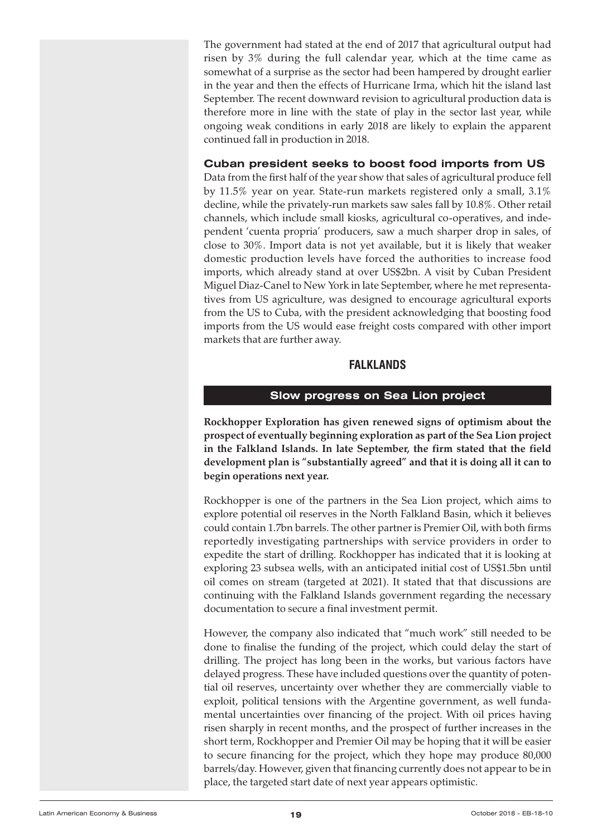<span id="page-18-0"></span>The government had stated at the end of 2017 that agricultural output had risen by 3% during the full calendar year, which at the time came as somewhat of a surprise as the sector had been hampered by drought earlier in the year and then the effects of Hurricane Irma, which hit the island last September. The recent downward revision to agricultural production data is therefore more in line with the state of play in the sector last year, while ongoing weak conditions in early 2018 are likely to explain the apparent continued fall in production in 2018.

## **Cuban president seeks to boost food imports from US**

Data from the first half of the year show that sales of agricultural produce fell by 11.5% year on year. State-run markets registered only a small, 3.1% decline, while the privately-run markets saw sales fall by 10.8%. Other retail channels, which include small kiosks, agricultural co-operatives, and independent 'cuenta propria' producers, saw a much sharper drop in sales, of close to 30%. Import data is not yet available, but it is likely that weaker domestic production levels have forced the authorities to increase food imports, which already stand at over US\$2bn. A visit by Cuban President Miguel Diaz-Canel to New York in late September, where he met representatives from US agriculture, was designed to encourage agricultural exports from the US to Cuba, with the president acknowledging that boosting food imports from the US would ease freight costs compared with other import markets that are further away.

# **FALkLANDS**

#### **Slow progress on Sea Lion project**

**Rockhopper Exploration has given renewed signs of optimism about the prospect of eventually beginning exploration as part of the Sea Lion project in the Falkland Islands. In late September, the firm stated that the field development plan is "substantially agreed" and that it is doing all it can to begin operations next year.**

Rockhopper is one of the partners in the Sea Lion project, which aims to explore potential oil reserves in the North Falkland Basin, which it believes could contain 1.7bn barrels. The other partner is Premier Oil, with both firms reportedly investigating partnerships with service providers in order to expedite the start of drilling. Rockhopper has indicated that it is looking at exploring 23 subsea wells, with an anticipated initial cost of US\$1.5bn until oil comes on stream (targeted at 2021). It stated that that discussions are continuing with the Falkland Islands government regarding the necessary documentation to secure a final investment permit.

However, the company also indicated that "much work" still needed to be done to finalise the funding of the project, which could delay the start of drilling. The project has long been in the works, but various factors have delayed progress. These have included questions over the quantity of potential oil reserves, uncertainty over whether they are commercially viable to exploit, political tensions with the Argentine government, as well fundamental uncertainties over financing of the project. With oil prices having risen sharply in recent months, and the prospect of further increases in the short term, Rockhopper and Premier Oil may be hoping that it will be easier to secure financing for the project, which they hope may produce 80,000 barrels/day. However, given that financing currently does not appear to be in place, the targeted start date of next year appears optimistic.